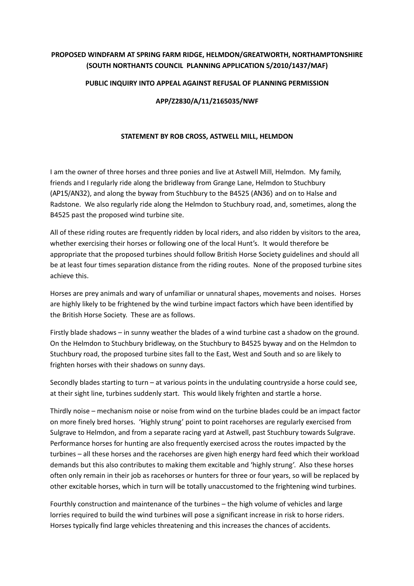## **PROPOSED WINDFARM AT SPRING FARM RIDGE, HELMDON/GREATWORTH, NORTHAMPTONSHIRE (SOUTH NORTHANTS COUNCIL PLANNING APPLICATION S/2010/1437/MAF)**

## **PUBLIC INQUIRY INTO APPEAL AGAINST REFUSAL OF PLANNING PERMISSION**

## **APP/Z2830/A/11/2165035/NWF**

## **STATEMENT BY ROB CROSS, ASTWELL MILL, HELMDON**

I am the owner of three horses and three ponies and live at Astwell Mill, Helmdon. My family, friends and I regularly ride along the bridleway from Grange Lane, Helmdon to Stuchbury (AP15/AN32), and along the byway from Stuchbury to the B4525 (AN36) and on to Halse and Radstone. We also regularly ride along the Helmdon to Stuchbury road, and, sometimes, along the B4525 past the proposed wind turbine site.

All of these riding routes are frequently ridden by local riders, and also ridden by visitors to the area, whether exercising their horses or following one of the local Hunt's. It would therefore be appropriate that the proposed turbines should follow British Horse Society guidelines and should all be at least four times separation distance from the riding routes. None of the proposed turbine sites achieve this.

Horses are prey animals and wary of unfamiliar or unnatural shapes, movements and noises. Horses are highly likely to be frightened by the wind turbine impact factors which have been identified by the British Horse Society. These are as follows.

Firstly blade shadows – in sunny weather the blades of a wind turbine cast a shadow on the ground. On the Helmdon to Stuchbury bridleway, on the Stuchbury to B4525 byway and on the Helmdon to Stuchbury road, the proposed turbine sites fall to the East, West and South and so are likely to frighten horses with their shadows on sunny days.

Secondly blades starting to turn – at various points in the undulating countryside a horse could see, at their sight line, turbines suddenly start. This would likely frighten and startle a horse.

Thirdly noise – mechanism noise or noise from wind on the turbine blades could be an impact factor on more finely bred horses. 'Highly strung' point to point racehorses are regularly exercised from Sulgrave to Helmdon, and from a separate racing yard at Astwell, past Stuchbury towards Sulgrave. Performance horses for hunting are also frequently exercised across the routes impacted by the turbines – all these horses and the racehorses are given high energy hard feed which their workload demands but this also contributes to making them excitable and 'highly strung'. Also these horses often only remain in their job as racehorses or hunters for three or four years, so will be replaced by other excitable horses, which in turn will be totally unaccustomed to the frightening wind turbines.

Fourthly construction and maintenance of the turbines – the high volume of vehicles and large lorries required to build the wind turbines will pose a significant increase in risk to horse riders. Horses typically find large vehicles threatening and this increases the chances of accidents.